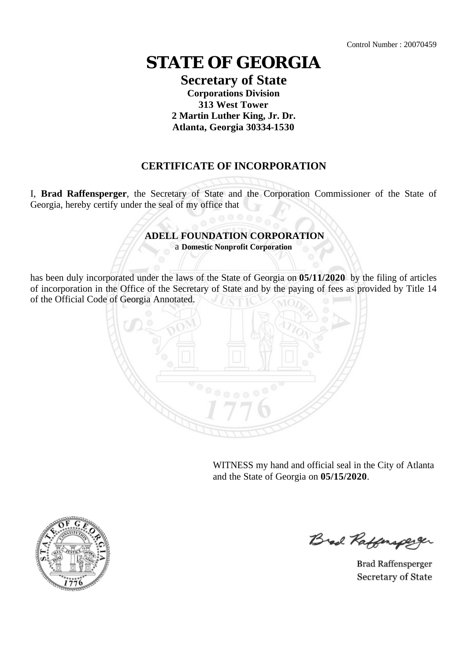# **STATE OF GEORGIA**

#### **Secretary of State Corporations Division 313 West Tower 2 Martin Luther King, Jr. Dr. Atlanta, Georgia 30334-1530**

### **CERTIFICATE OF INCORPORATION**

I, **Brad Raffensperger**, the Secretary of State and the Corporation Commissioner of the State of Georgia, hereby certify under the seal of my office that

## **ADELL FOUNDATION CORPORATION**

a **Domestic Nonprofit Corporation**

has been duly incorporated under the laws of the State of Georgia on **05/11/2020** by the filing of articles of incorporation in the Office of the Secretary of State and by the paying of fees as provided by Title 14 of the Official Code of Georgia Annotated.



WITNESS my hand and official seal in the City of Atlanta and the State of Georgia on **05/15/2020**.



Brad Raffersper

**Brad Raffensperger** Secretary of State